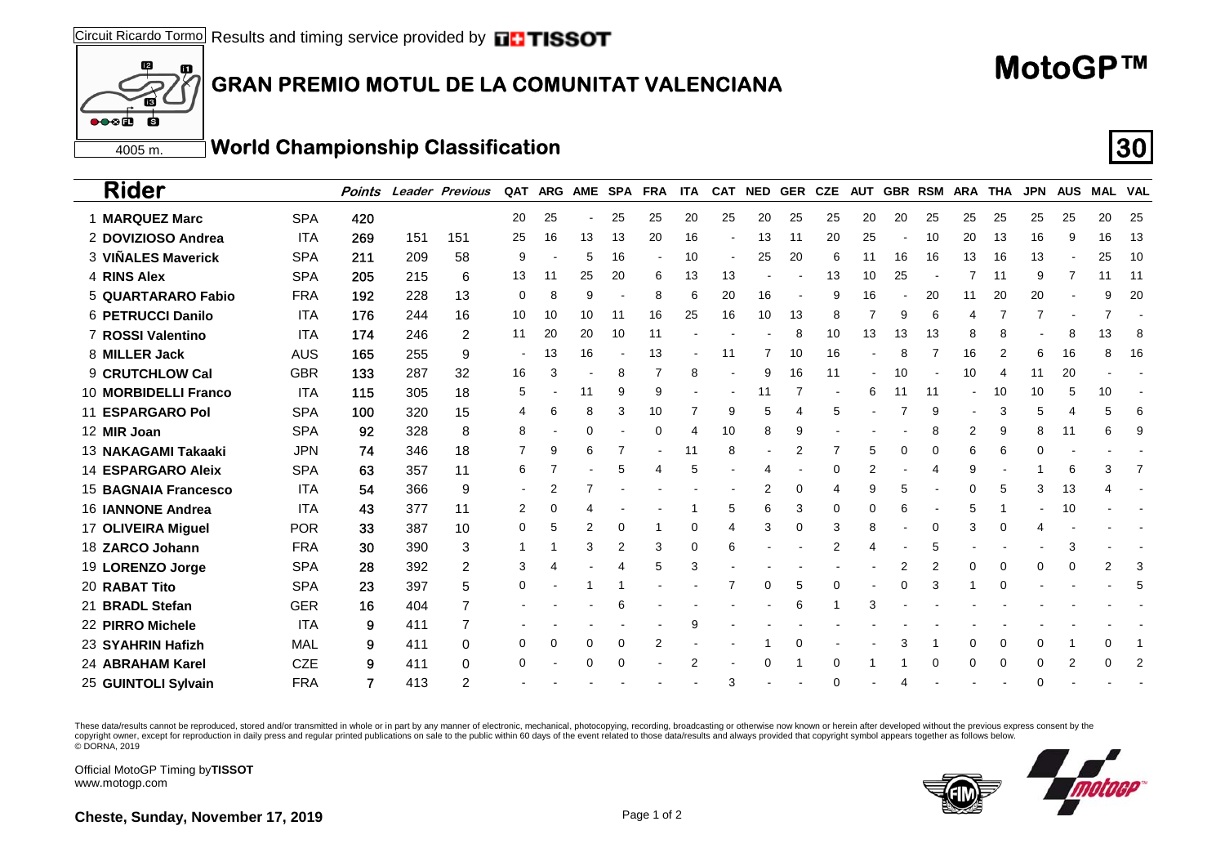#### 60 **GRAN PREMIO MOTUL DE LA COMUNITAT VALENCIANA**

# **MotoGP™**

4005 m.

 $\bullet \bullet \bullet$ 

 $f2$ 

**S** 

### **World Championship Classification 30**

| <b>Rider</b>                |            | Points |     | <b>Leader Previous</b> | QAT | ARG AME SPA FRA |    |                |        | <b>ITA</b>     |                | CAT NED | <b>GER CZE</b> |    | <b>AUT</b> |                |          | <b>GBR RSM ARA</b> | THA | <b>JPN</b> | <b>AUS</b> | <b>MAL VAL</b> |    |
|-----------------------------|------------|--------|-----|------------------------|-----|-----------------|----|----------------|--------|----------------|----------------|---------|----------------|----|------------|----------------|----------|--------------------|-----|------------|------------|----------------|----|
| 1 MARQUEZ Marc              | <b>SPA</b> | 420    |     |                        | 20  | 25              |    | 25             | 25     | 20             | 25             | 20      | 25             | 25 | 20         | 20             | 25       | 25                 | 25  | 25         | 25         | 20             | 25 |
| 2 DOVIZIOSO Andrea          | ITA        | 269    | 151 | 151                    | 25  | 16              | 13 | 13             | 20     | 16             | $\blacksquare$ | 13      | -11            | 20 | 25         |                | 10       | 20                 | 13  | 16         | 9          | 16             | 13 |
| 3 VIÑALES Maverick          | <b>SPA</b> | 211    | 209 | 58                     | 9   |                 | 5  | 16             | $\sim$ | 10             | $\sim$         | 25      | 20             | 6  | 11         | 16             | 16       | 13                 | 16  | 13         |            | 25             | 10 |
| 4 RINS Alex                 | <b>SPA</b> | 205    | 215 | 6                      | 13  | 11              | 25 | 20             | 6      | 13             | 13             |         |                | 13 | 10         | 25             |          |                    | 11  | 9          | 7          | 11             | 11 |
| 5 QUARTARARO Fabio          | <b>FRA</b> | 192    | 228 | 13                     | 0   | 8               | 9  |                | 8      | 6              | 20             | 16      |                | 9  | 16         |                | 20       | 11                 | 20  | 20         |            | 9              | 20 |
| 6 PETRUCCI Danilo           | <b>ITA</b> | 176    | 244 | 16                     | 10  | 10              | 10 | 11             | 16     | 25             | 16             | 10      | 13             | 8  |            | 9              | 6        | 4                  |     |            |            |                |    |
| 7 ROSSI Valentino           | <b>ITA</b> | 174    | 246 | 2                      | 11  | 20              | 20 | 10             | 11     |                |                |         | 8              | 10 | 13         | 13             | 13       | 8                  | 8   |            | 8          | 13             | 8  |
| 8 MILLER Jack               | AUS        | 165    | 255 | 9                      |     | 13              | 16 |                | 13     |                | 11             |         | 10             | 16 |            | 8              |          | 16                 | 2   | 6          | 16         | 8              | 16 |
| 9 CRUTCHLOW Cal             | <b>GBR</b> | 133    | 287 | 32                     | 16  | 3               |    | 8              | 7      | 8              | $\blacksquare$ | 9       | 16             | 11 | ۰          | 10             |          | 10                 | 4   | 11         | 20         |                |    |
| 10 MORBIDELLI Franco        | <b>ITA</b> | 115    | 305 | 18                     | 5   |                 | 11 | 9              | 9      |                |                | 11      |                |    | 6          | 11             | 11       |                    | 10  | 10         | 5          | 10             |    |
| <b>11 ESPARGARO Pol</b>     | <b>SPA</b> | 100    | 320 | 15                     | 4   | 6               | 8  | 3              | 10     | 7              | 9              | 5       | 4              | 5  |            |                | 9        | $\blacksquare$     | 3   | 5          | 4          |                | 6  |
| 12 MIR Joan                 | <b>SPA</b> | 92     | 328 | 8                      | 8   |                 | 0  |                | 0      | 4              | 10             | 8       | 9              |    |            |                | 8        | 2                  | 9   | 8          | 11         | 6              | 9  |
| 13 NAKAGAMI Takaaki         | <b>JPN</b> | 74     | 346 | 18                     |     | 9               | 6  |                |        | 11             | 8              |         | 2              |    | 5          | 0              | 0        | 6                  | 6   | 0          |            |                |    |
| <b>14 ESPARGARO Aleix</b>   | <b>SPA</b> | 63     | 357 | 11                     | 6   |                 |    | 5              | 4      | 5              |                | 4       |                | 0  | 2          |                | 4        | 9                  |     |            | 6          | 3              |    |
| <b>15 BAGNAIA Francesco</b> | <b>ITA</b> | 54     | 366 | 9                      |     | 2               |    |                |        |                |                | 2       | 0              | 4  | 9          | 5              |          | 0                  | 5   | 3          | 13         |                |    |
| 16 <b>JANNONE Andrea</b>    | <b>ITA</b> | 43     | 377 | 11                     | 2   | 0               |    |                |        |                | 5              | 6       | 3              | 0  | 0          | 6              |          |                    |     |            | 10         |                |    |
| 17 OLIVEIRA Miquel          | <b>POR</b> | 33     | 387 | 10                     | 0   | 5               | 2  | 0              |        | 0              | 4              | 3       | 0              | 3  | 8          |                | 0        | 3                  | 0   | 4          |            |                |    |
| 18 ZARCO Johann             | <b>FRA</b> | 30     | 390 | 3                      |     |                 | 3  | $\overline{2}$ | 3      | 0              | 6              |         |                | 2  | 4          |                | 5        |                    |     |            | 3          |                |    |
| 19 LORENZO Jorge            | <b>SPA</b> | 28     | 392 | 2                      | 3   | 4               |    | 4              | 5      | 3              |                |         |                |    |            | $\overline{2}$ |          | 0                  | 0   | 0          | 0          |                | 3  |
| 20 RABAT Tito               | <b>SPA</b> | 23     | 397 | 5                      | 0   |                 |    |                |        |                |                | 0       | 5              | 0  |            | 0              | 3        |                    | 0   |            |            |                | 5  |
| 21 BRADL Stefan             | <b>GER</b> | 16     | 404 |                        |     |                 |    | 6              |        |                |                |         | 6              |    | 3          |                |          |                    |     |            |            |                |    |
| 22 PIRRO Michele            | <b>ITA</b> | 9      | 411 |                        |     |                 |    |                |        | 9              |                |         |                |    |            |                |          |                    |     |            |            |                |    |
| 23  SYAHRIN Hafizh          | MAL        | 9      | 411 | 0                      | 0   | 0               | 0  | 0              | 2      |                |                |         | 0              |    |            | 3              |          | 0                  | 0   | 0          |            |                |    |
| 24 ABRAHAM Karel            | <b>CZE</b> | 9      | 411 | 0                      | 0   |                 | 0  | 0              |        | $\overline{2}$ |                | 0       |                | 0  |            |                | $\Omega$ | 0                  | 0   | 0          | 2          |                | 2  |
| 25 GUINTOLI Svlvain         | <b>FRA</b> | 7      | 413 | 2                      |     |                 |    |                |        |                | 3              |         |                | 0  |            |                |          |                    |     | $\Omega$   |            |                |    |

These data/results cannot be reproduced, stored and/or transmitted in whole or in part by any manner of electronic, mechanical, photocopying, recording, broadcasting or otherwise now known or herein after developed without copyright owner, except for reproduction in daily press and regular printed publications on sale to the public within 60 days of the event related to those data/results and always provided that copyright symbol appears tog © DORNA, 2019

Official MotoGP Timing by **TISSOT**www.motogp.com



**Cheste, Sunday, November 17, 2019 Page 1 of 2** Page 1 of 2